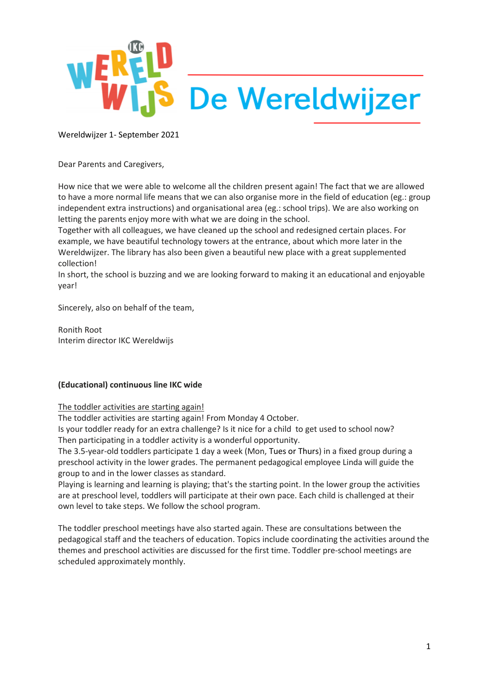

Dear Parents and Caregivers,

How nice that we were able to welcome all the children present again! The fact that we are allowed to have a more normal life means that we can also organise more in the field of education (eg.: group independent extra instructions) and organisational area (eg.: school trips). We are also working on letting the parents enjoy more with what we are doing in the school.

Together with all colleagues, we have cleaned up the school and redesigned certain places. For example, we have beautiful technology towers at the entrance, about which more later in the Wereldwijzer. The library has also been given a beautiful new place with a great supplemented collection!

In short, the school is buzzing and we are looking forward to making it an educational and enjoyable year!

Sincerely, also on behalf of the team,

Ronith Root Interim director IKC Wereldwijs

#### **(Educational) continuous line IKC wide**

#### The toddler activities are starting again!

The toddler activities are starting again! From Monday 4 October.

Is your toddler ready for an extra challenge? Is it nice for a child to get used to school now? Then participating in a toddler activity is a wonderful opportunity.

The 3.5-year-old toddlers participate 1 day a week (Mon, Tues or Thurs) in a fixed group during a preschool activity in the lower grades. The permanent pedagogical employee Linda will guide the group to and in the lower classes as standard.

Playing is learning and learning is playing; that's the starting point. In the lower group the activities are at preschool level, toddlers will participate at their own pace. Each child is challenged at their own level to take steps. We follow the school program.

The toddler preschool meetings have also started again. These are consultations between the pedagogical staff and the teachers of education. Topics include coordinating the activities around the themes and preschool activities are discussed for the first time. Toddler pre-school meetings are scheduled approximately monthly.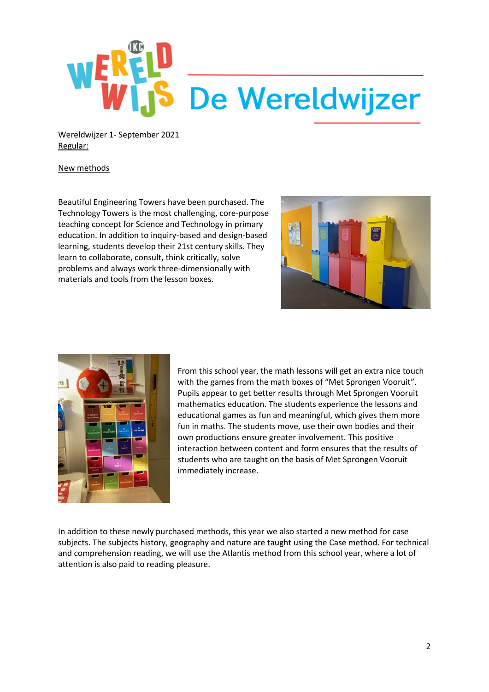

Wereldwijzer 1- September 2021 Regular:

#### New methods

Beautiful Engineering Towers have been purchased. The Technology Towers is the most challenging, core-purpose teaching concept for Science and Technology in primary education. In addition to inquiry-based and design-based learning, students develop their 21st century skills. They learn to collaborate, consult, think critically, solve problems and always work three-dimensionally with materials and tools from the lesson boxes.





From this school year, the math lessons will get an extra nice touch with the games from the math boxes of "Met Sprongen Vooruit". Pupils appear to get better results through Met Sprongen Vooruit mathematics education. The students experience the lessons and educational games as fun and meaningful, which gives them more fun in maths. The students move, use their own bodies and their own productions ensure greater involvement. This positive interaction between content and form ensures that the results of students who are taught on the basis of Met Sprongen Vooruit immediately increase.

In addition to these newly purchased methods, this year we also started a new method for case subjects. The subjects history, geography and nature are taught using the Case method. For technical and comprehension reading, we will use the Atlantis method from this school year, where a lot of attention is also paid to reading pleasure.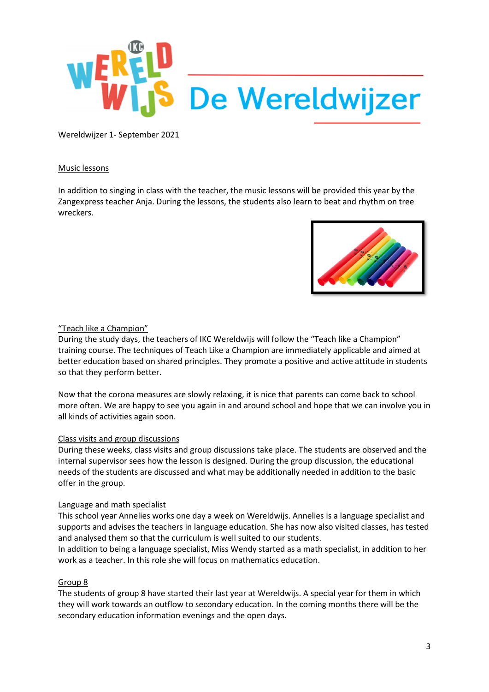

#### Music lessons

In addition to singing in class with the teacher, the music lessons will be provided this year by the Zangexpress teacher Anja. During the lessons, the students also learn to beat and rhythm on tree wreckers.



#### "Teach like a Champion"

During the study days, the teachers of IKC Wereldwijs will follow the "Teach like a Champion" training course. The techniques of Teach Like a Champion are immediately applicable and aimed at better education based on shared principles. They promote a positive and active attitude in students so that they perform better.

Now that the corona measures are slowly relaxing, it is nice that parents can come back to school more often. We are happy to see you again in and around school and hope that we can involve you in all kinds of activities again soon.

#### Class visits and group discussions

During these weeks, class visits and group discussions take place. The students are observed and the internal supervisor sees how the lesson is designed. During the group discussion, the educational needs of the students are discussed and what may be additionally needed in addition to the basic offer in the group.

#### Language and math specialist

This school year Annelies works one day a week on Wereldwijs. Annelies is a language specialist and supports and advises the teachers in language education. She has now also visited classes, has tested and analysed them so that the curriculum is well suited to our students.

In addition to being a language specialist, Miss Wendy started as a math specialist, in addition to her work as a teacher. In this role she will focus on mathematics education.

#### Group 8

The students of group 8 have started their last year at Wereldwijs. A special year for them in which they will work towards an outflow to secondary education. In the coming months there will be the secondary education information evenings and the open days.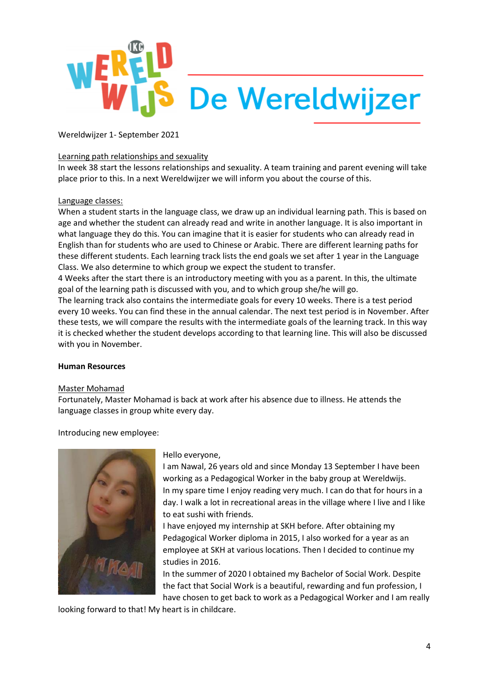

#### Learning path relationships and sexuality

In week 38 start the lessons relationships and sexuality. A team training and parent evening will take place prior to this. In a next Wereldwijzer we will inform you about the course of this.

#### Language classes:

When a student starts in the language class, we draw up an individual learning path. This is based on age and whether the student can already read and write in another language. It is also important in what language they do this. You can imagine that it is easier for students who can already read in English than for students who are used to Chinese or Arabic. There are different learning paths for these different students. Each learning track lists the end goals we set after 1 year in the Language Class. We also determine to which group we expect the student to transfer.

4 Weeks after the start there is an introductory meeting with you as a parent. In this, the ultimate goal of the learning path is discussed with you, and to which group she/he will go.

The learning track also contains the intermediate goals for every 10 weeks. There is a test period every 10 weeks. You can find these in the annual calendar. The next test period is in November. After these tests, we will compare the results with the intermediate goals of the learning track. In this way it is checked whether the student develops according to that learning line. This will also be discussed with you in November.

#### **Human Resources**

#### Master Mohamad

Fortunately, Master Mohamad is back at work after his absence due to illness. He attends the language classes in group white every day.

Introducing new employee:



#### Hello everyone,

I am Nawal, 26 years old and since Monday 13 September I have been working as a Pedagogical Worker in the baby group at Wereldwijs. In my spare time I enjoy reading very much. I can do that for hours in a day. I walk a lot in recreational areas in the village where I live and I like to eat sushi with friends.

I have enjoyed my internship at SKH before. After obtaining my Pedagogical Worker diploma in 2015, I also worked for a year as an employee at SKH at various locations. Then I decided to continue my studies in 2016.

In the summer of 2020 I obtained my Bachelor of Social Work. Despite the fact that Social Work is a beautiful, rewarding and fun profession, I have chosen to get back to work as a Pedagogical Worker and I am really

looking forward to that! My heart is in childcare.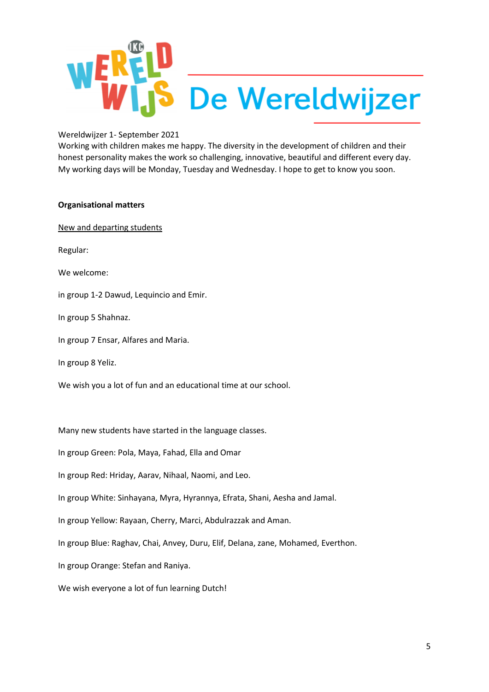

Working with children makes me happy. The diversity in the development of children and their honest personality makes the work so challenging, innovative, beautiful and different every day. My working days will be Monday, Tuesday and Wednesday. I hope to get to know you soon.

#### **Organisational matters**

New and departing students

Regular:

We welcome:

in group 1-2 Dawud, Lequincio and Emir.

In group 5 Shahnaz.

In group 7 Ensar, Alfares and Maria.

In group 8 Yeliz.

We wish you a lot of fun and an educational time at our school.

Many new students have started in the language classes.

In group Green: Pola, Maya, Fahad, Ella and Omar

In group Red: Hriday, Aarav, Nihaal, Naomi, and Leo.

In group White: Sinhayana, Myra, Hyrannya, Efrata, Shani, Aesha and Jamal.

In group Yellow: Rayaan, Cherry, Marci, Abdulrazzak and Aman.

In group Blue: Raghav, Chai, Anvey, Duru, Elif, Delana, zane, Mohamed, Everthon.

In group Orange: Stefan and Raniya.

We wish everyone a lot of fun learning Dutch!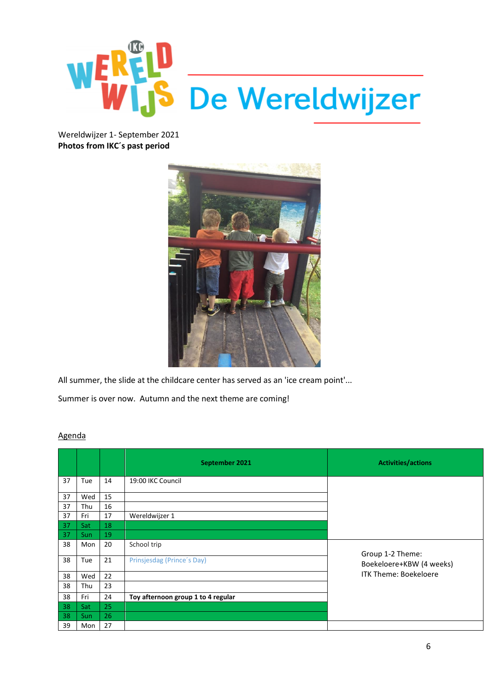

Wereldwijzer 1- September 2021 **Photos from IKC´s past period**



All summer, the slide at the childcare center has served as an 'ice cream point'...

Summer is over now. Autumn and the next theme are coming!

|    |            |    | September 2021                     | <b>Activities/actions</b>    |
|----|------------|----|------------------------------------|------------------------------|
| 37 | Tue        | 14 | 19:00 IKC Council                  |                              |
| 37 | Wed        | 15 |                                    |                              |
| 37 | Thu        | 16 |                                    |                              |
| 37 | Fri        | 17 | Wereldwijzer 1                     |                              |
| 37 | Sat        | 18 |                                    |                              |
| 37 | Sun        | 19 |                                    |                              |
| 38 | Mon        | 20 | School trip                        | Group 1-2 Theme:             |
| 38 | Tue        | 21 | Prinsjesdag (Prince's Day)         | Boekeloere+KBW (4 weeks)     |
| 38 | Wed        | 22 |                                    | <b>ITK Theme: Boekeloere</b> |
| 38 | Thu        | 23 |                                    |                              |
| 38 | Fri        | 24 | Toy afternoon group 1 to 4 regular |                              |
| 38 | Sat        | 25 |                                    |                              |
| 38 | <b>Sun</b> | 26 |                                    |                              |
| 39 | Mon        | 27 |                                    |                              |

### Agenda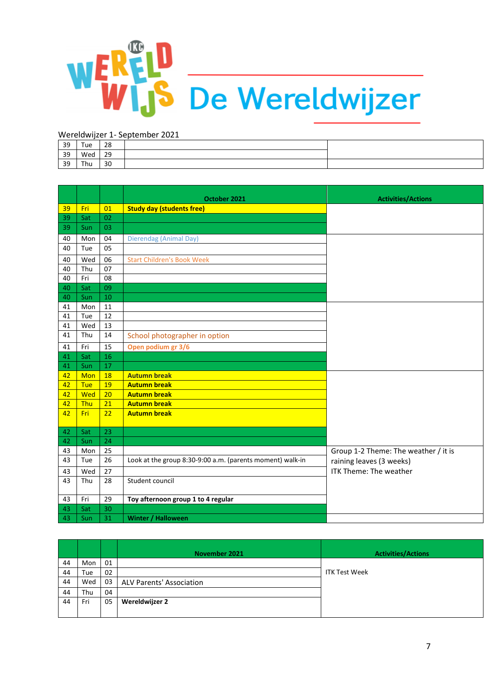

| 39 | Tue | 28 |  |
|----|-----|----|--|
| 39 | Wed | 29 |  |
| 39 | Thu | 30 |  |

|          |            |          | October 2021                                              | <b>Activities/Actions</b>            |
|----------|------------|----------|-----------------------------------------------------------|--------------------------------------|
| 39       | Fri        | 01       | <b>Study day (students free)</b>                          |                                      |
| 39       | Sat        | 02       |                                                           |                                      |
| 39       | <b>Sun</b> | 03       |                                                           |                                      |
| 40       | Mon        | 04       | Dierendag (Animal Day)                                    |                                      |
| 40       | Tue        | 05       |                                                           |                                      |
| 40       | Wed        | 06       | <b>Start Children's Book Week</b>                         |                                      |
| 40       | Thu        | 07       |                                                           |                                      |
| 40       | Fri        | 08       |                                                           |                                      |
| 40       | Sat        | 09       |                                                           |                                      |
| 40       | Sun        | 10       |                                                           |                                      |
| 41       | Mon        | 11       |                                                           |                                      |
| 41       | Tue        | 12       |                                                           |                                      |
| 41       | Wed        | 13       |                                                           |                                      |
| 41       | Thu        | 14       | School photographer in option                             |                                      |
| 41       | Fri        | 15       | Open podium gr 3/6                                        |                                      |
| 41       | Sat        | 16       |                                                           |                                      |
| 41       | Sun        | 17       |                                                           |                                      |
| 42       | <b>Mon</b> | 18       | <b>Autumn break</b>                                       |                                      |
| 42       | <b>Tue</b> | 19       | <b>Autumn break</b>                                       |                                      |
| 42       | <b>Wed</b> | 20       | <b>Autumn break</b>                                       |                                      |
| 42       | <b>Thu</b> | 21       | <b>Autumn break</b>                                       |                                      |
| 42       | Fri        | 22       | <b>Autumn break</b>                                       |                                      |
|          |            |          |                                                           |                                      |
| 42<br>42 | Sat<br>Sun | 23<br>24 |                                                           |                                      |
| 43       | Mon        | 25       |                                                           | Group 1-2 Theme: The weather / it is |
| 43       | Tue        | 26       | Look at the group 8:30-9:00 a.m. (parents moment) walk-in | raining leaves (3 weeks)             |
|          |            | 27       |                                                           | ITK Theme: The weather               |
| 43       | Wed        |          |                                                           |                                      |
| 43       | Thu        | 28       | Student council                                           |                                      |
| 43       | Fri        | 29       | Toy afternoon group 1 to 4 regular                        |                                      |
| 43       | Sat        | 30       |                                                           |                                      |
| 43       | Sun        | 31       | <b>Winter / Halloween</b>                                 |                                      |

|    |     |    | November 2021            | <b>Activities/Actions</b> |
|----|-----|----|--------------------------|---------------------------|
| 44 | Mon | 01 |                          |                           |
| 44 | Tue | 02 |                          | <b>ITK Test Week</b>      |
| 44 | Wed | 03 | ALV Parents' Association |                           |
| 44 | Thu | 04 |                          |                           |
| 44 | Fri | 05 | Wereldwijzer 2           |                           |
|    |     |    |                          |                           |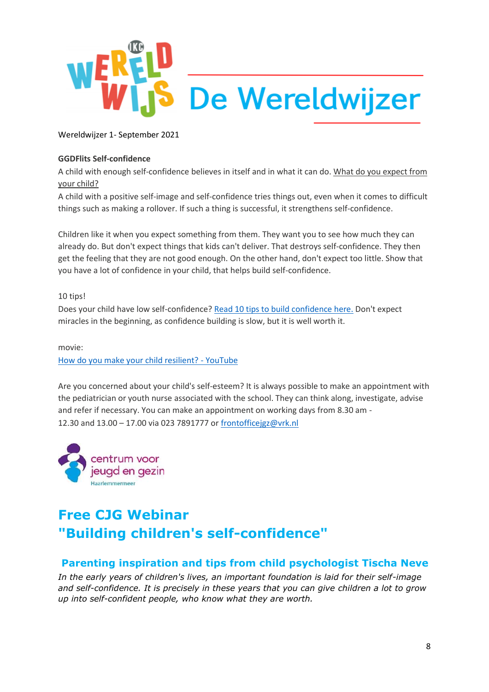

### **GGDFlits Self-confidence**

A child with enough self-confidence believes in itself and in what it can do. What do you expect from your child?

A child with a positive self-image and self-confidence tries things out, even when it comes to difficult things such as making a rollover. If such a thing is successful, it strengthens self-confidence.

Children like it when you expect something from them. They want you to see how much they can already do. But don't expect things that kids can't deliver. That destroys self-confidence. They then get the feeling that they are not good enough. On the other hand, don't expect too little. Show that you have a lot of confidence in your child, that helps build self-confidence.

#### 10 tips!

Does your child have low self-confidence? [Read 10 tips to build confidence here.](https://www.opvoeden.nl/zelfvertrouwen-502/) Don't expect miracles in the beginning, as confidence building is slow, but it is well worth it.

### movie: [How do you make your child resilient? -](https://www.youtube.com/watch?v=OoWOq3KIqiI&list=PLun7q2X_UI0ECUkiZWxc_dtp5JFAknGKo&index=5) YouTube

Are you concerned about your child's self-esteem? It is always possible to make an appointment with the pediatrician or youth nurse associated with the school. They can think along, investigate, advise and refer if necessary. You can make an appointment on working days from 8.30 am - 12.30 and 13.00 – 17.00 via 023 7891777 or [frontofficejgz@vrk.nl](mailto:frontofficejgz@vrk.nl)



# **Free CJG Webinar "Building children's self-confidence"**

## **Parenting inspiration and tips from child psychologist Tischa Neve**

*In the early years of children's lives, an important foundation is laid for their self-image and self-confidence. It is precisely in these years that you can give children a lot to grow up into self-confident people, who know what they are worth.*